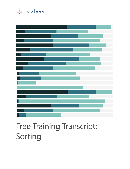

# Free Training Transcript: Sorting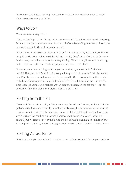Welcome to this video on Sorting. You can download the Exercises workbook to follow along in your own copy of Tableau.

#### Ways to Sort

There are several ways to sort.

First, and perhaps easiest, is the Quick Sort on the axis. For views with an axis, hovering brings up the Quick Sort icon. One click sorts the bars descending, another click switches to ascending, and a third click clears the sort.

What if we wanted to sort by descending Profit? Profit is on color, not an axis, so there's no quick sort button. When we right click on the pill, there's no sort option in the menu. In this case, the toolbar buttons allow easy sorting. Click on the pill we want to sort by, in this case Profit, then select the appropriate sort from the toolbar.

However, sometimes sorting ascending or descending by a measure isn't the most helpful. Here, we have Order Priority assigned to specific colors, from Critical as red to Low Priority as green, and we want the bars sorted by Order Priority. To do this easily right from the view, we can drag the headers in the legend. If we also want to sort the Ship Mode, so Same Day is highest, we can drag the headers in the bar chart. For the most fine-tuned control, however, sort from the pill itself.

# Sorting from the Pill

To control the sort from a pill, unlike when using the toolbar buttons, we don't click the pill of the field we want to sort by, we click the discrete pill that we want to have sorted. Here we want to sort our Sub-Categories, so we click that pill to get the dropdown menu and click Sort. We can fine tune exactly how we want to sort, such as alphabetic or manual, but we can also sort by field. And the field doesn't even have to be in the view – we can pick…. Quantity and set the aggregation, and set the sort order, I like descending.

### Sorting Across Panes

If we have multiple dimensions in the view, such as Category and Sub-Category, we have